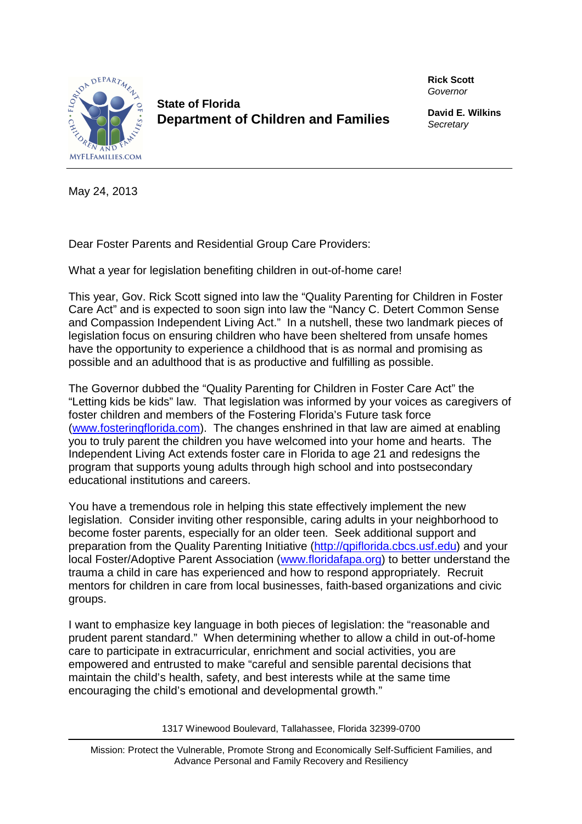

**State of Florida Department of Children and Families**  **Rick Scott** Governor

**David E. Wilkins Secretary** 

May 24, 2013

Dear Foster Parents and Residential Group Care Providers:

What a year for legislation benefiting children in out-of-home care!

This year, Gov. Rick Scott signed into law the "Quality Parenting for Children in Foster Care Act" and is expected to soon sign into law the "Nancy C. Detert Common Sense and Compassion Independent Living Act." In a nutshell, these two landmark pieces of legislation focus on ensuring children who have been sheltered from unsafe homes have the opportunity to experience a childhood that is as normal and promising as possible and an adulthood that is as productive and fulfilling as possible.

The Governor dubbed the "Quality Parenting for Children in Foster Care Act" the "Letting kids be kids" law. That legislation was informed by your voices as caregivers of foster children and members of the Fostering Florida's Future task force (www.fosteringflorida.com). The changes enshrined in that law are aimed at enabling you to truly parent the children you have welcomed into your home and hearts. The Independent Living Act extends foster care in Florida to age 21 and redesigns the program that supports young adults through high school and into postsecondary educational institutions and careers.

You have a tremendous role in helping this state effectively implement the new legislation. Consider inviting other responsible, caring adults in your neighborhood to become foster parents, especially for an older teen. Seek additional support and preparation from the Quality Parenting Initiative (http://qpiflorida.cbcs.usf.edu) and your local Foster/Adoptive Parent Association (www.floridafapa.org) to better understand the trauma a child in care has experienced and how to respond appropriately. Recruit mentors for children in care from local businesses, faith-based organizations and civic groups.

I want to emphasize key language in both pieces of legislation: the "reasonable and prudent parent standard." When determining whether to allow a child in out-of-home care to participate in extracurricular, enrichment and social activities, you are empowered and entrusted to make "careful and sensible parental decisions that maintain the child's health, safety, and best interests while at the same time encouraging the child's emotional and developmental growth."

1317 Winewood Boulevard, Tallahassee, Florida 32399-0700